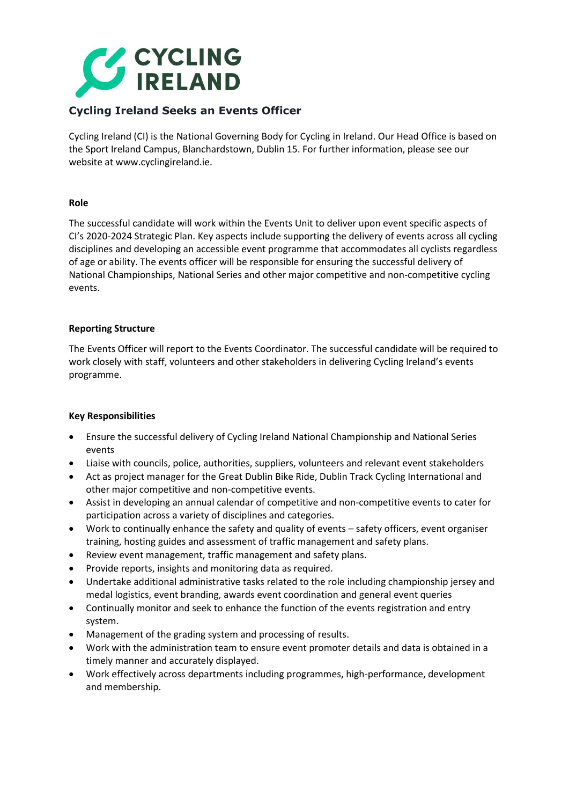

# **Cycling Ireland Seeks an Events Officer**

Cycling Ireland (CI) is the National Governing Body for Cycling in Ireland. Our Head Office is based on the Sport Ireland Campus, Blanchardstown, Dublin 15. For further information, please see our website at www.cyclingireland.ie.

## **Role**

The successful candidate will work within the Events Unit to deliver upon event specific aspects of CI's 2020-2024 Strategic Plan. Key aspects include supporting the delivery of events across all cycling disciplines and developing an accessible event programme that accommodates all cyclists regardless of age or ability. The events officer will be responsible for ensuring the successful delivery of National Championships, National Series and other major competitive and non-competitive cycling events.

# **Reporting Structure**

The Events Officer will report to the Events Coordinator. The successful candidate will be required to work closely with staff, volunteers and other stakeholders in delivering Cycling Ireland's events programme.

# **Key Responsibilities**

- Ensure the successful delivery of Cycling Ireland National Championship and National Series events
- Liaise with councils, police, authorities, suppliers, volunteers and relevant event stakeholders
- Act as project manager for the Great Dublin Bike Ride, Dublin Track Cycling International and other major competitive and non-competitive events.
- Assist in developing an annual calendar of competitive and non-competitive events to cater for participation across a variety of disciplines and categories.
- Work to continually enhance the safety and quality of events safety officers, event organiser training, hosting guides and assessment of traffic management and safety plans.
- Review event management, traffic management and safety plans.
- Provide reports, insights and monitoring data as required.
- Undertake additional administrative tasks related to the role including championship jersey and medal logistics, event branding, awards event coordination and general event queries
- Continually monitor and seek to enhance the function of the events registration and entry system.
- Management of the grading system and processing of results.
- Work with the administration team to ensure event promoter details and data is obtained in a timely manner and accurately displayed.
- Work effectively across departments including programmes, high-performance, development and membership.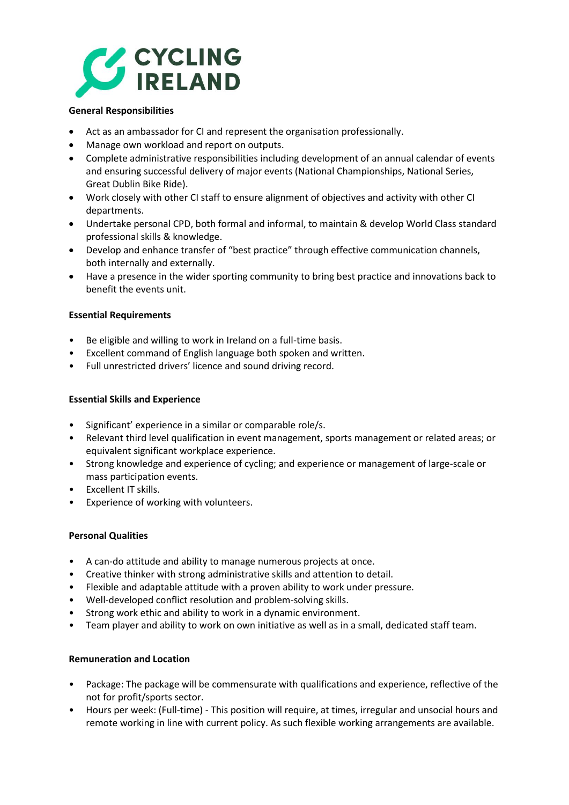

## **General Responsibilities**

- Act as an ambassador for CI and represent the organisation professionally.
- Manage own workload and report on outputs.
- Complete administrative responsibilities including development of an annual calendar of events and ensuring successful delivery of major events (National Championships, National Series, Great Dublin Bike Ride).
- Work closely with other CI staff to ensure alignment of objectives and activity with other CI departments.
- Undertake personal CPD, both formal and informal, to maintain & develop World Class standard professional skills & knowledge.
- Develop and enhance transfer of "best practice" through effective communication channels, both internally and externally.
- Have a presence in the wider sporting community to bring best practice and innovations back to benefit the events unit.

## **Essential Requirements**

- Be eligible and willing to work in Ireland on a full-time basis.
- Excellent command of English language both spoken and written.
- Full unrestricted drivers' licence and sound driving record.

#### **Essential Skills and Experience**

- Significant' experience in a similar or comparable role/s.
- Relevant third level qualification in event management, sports management or related areas; or equivalent significant workplace experience.
- Strong knowledge and experience of cycling; and experience or management of large-scale or mass participation events.
- Excellent IT skills.
- Experience of working with volunteers.

#### **Personal Qualities**

- A can-do attitude and ability to manage numerous projects at once.
- Creative thinker with strong administrative skills and attention to detail.
- Flexible and adaptable attitude with a proven ability to work under pressure.
- Well-developed conflict resolution and problem-solving skills.
- Strong work ethic and ability to work in a dynamic environment.
- Team player and ability to work on own initiative as well as in a small, dedicated staff team.

#### **Remuneration and Location**

- Package: The package will be commensurate with qualifications and experience, reflective of the not for profit/sports sector.
- Hours per week: (Full-time) This position will require, at times, irregular and unsocial hours and remote working in line with current policy. As such flexible working arrangements are available.